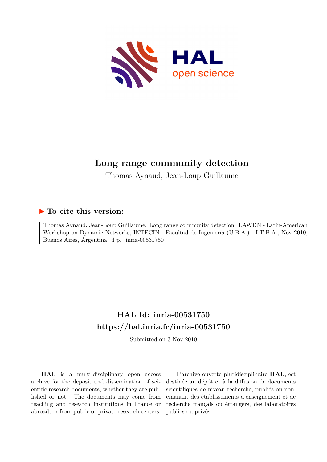

## **Long range community detection**

Thomas Aynaud, Jean-Loup Guillaume

### **To cite this version:**

Thomas Aynaud, Jean-Loup Guillaume. Long range community detection. LAWDN - Latin-American Workshop on Dynamic Networks, INTECIN - Facultad de Ingeniería (U.B.A.) - I.T.B.A., Nov 2010, Buenos Aires, Argentina.  $4 \text{ p. }$  inria-00531750

# **HAL Id: inria-00531750 <https://hal.inria.fr/inria-00531750>**

Submitted on 3 Nov 2010

**HAL** is a multi-disciplinary open access archive for the deposit and dissemination of scientific research documents, whether they are published or not. The documents may come from teaching and research institutions in France or abroad, or from public or private research centers.

L'archive ouverte pluridisciplinaire **HAL**, est destinée au dépôt et à la diffusion de documents scientifiques de niveau recherche, publiés ou non, émanant des établissements d'enseignement et de recherche français ou étrangers, des laboratoires publics ou privés.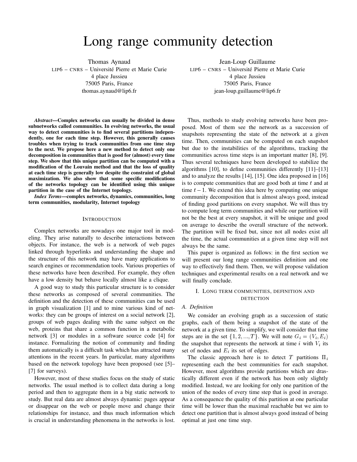# Long range community detection

Thomas Aynaud LIP6 – CNRS – Université Pierre et Marie Curie 4 place Jussieu 75005 Paris, France thomas.aynaud@lip6.fr

*Abstract*—Complex networks can usually be divided in dense subnetworks called communities. In evolving networks, the usual way to detect communities is to find several partitions independently, one for each time step. However, this generally causes troubles when trying to track communities from one time step to the next. We propose here a new method to detect only one decomposition in communities that is good for (almost) every time step. We show that this unique partition can be computed with a modification of the Louvain method and that the loss of quality at each time step is generally low despite the constraint of global maximization. We also show that some specific modifications of the networks topology can be identified using this unique partition in the case of the Internet topology.

*Index Terms*—complex networks, dynamics, communities, long term communities, modularity, Internet topology

#### INTRODUCTION

Complex networks are nowadays one major tool in modeling. They arise naturally to describe interactions between objects. For instance, the web is a network of web pages linked through hyperlinks and understanding the shape and the structure of this network may have many applications to search engines or recommendation tools. Various properties of these networks have been described. For example, they often have a low density but behave locally almost like a clique.

A good way to study this particular structure is to consider these networks as composed of several communities. The definition and the detection of these communities can be used in graph visualization [1] and to mine various kind of networks: they can be groups of interest on a social network [2], groups of web pages dealing with the same subject on the web, proteins that share a common function in a metabolic network [3] or modules in a software source code [4] for instance. Formalizing the notion of community and finding them automatically is a difficult task which has attracted many attentions in the recent years. In particular, many algorithms based on the network topology have been proposed (see [5]– [7] for surveys).

However, most of these studies focus on the study of static networks. The usual method is to collect data during a long period and then to aggregate them in a big static network to study. But real data are almost always dynamic: pages appear or disappear on the web or people move and change their relationships for instance, and thus much information which is crucial in understanding phenomena in the networks is lost.

Jean-Loup Guillaume LIP6 – CNRS – Université Pierre et Marie Curie 4 place Jussieu 75005 Paris, France jean-loup.guillaume@lip6.fr

Thus, methods to study evolving networks have been proposed. Most of them see the network as a succession of snapshots representing the state of the network at a given time. Then, communities can be computed on each snapshot but due to the instabilities of the algorithms, tracking the communities across time steps is an important matter [8], [9]. Thus several techniques have been developed to stabilize the algorithms [10], to define communities differently [11]–[13] and to analyze the results [14], [15]. One idea proposed in [16] is to compute communities that are good both at time  $t$  and at time  $t-1$ . We extend this idea here by computing one unique community decomposition that is almost always good, instead of finding good partitions on every snapshot. We will thus try to compute long term communities and while our partition will not be the best at every snapshot, it will be unique and good on average to describe the overall structure of the network. The partition will be fixed but, since not all nodes exist all the time, the actual communities at a given time step will not always be the same.

This paper is organized as follows: in the first section we will present our long range communities definition and one way to effectively find them. Then, we will propose validation techniques and experimental results on a real network and we will finally conclude.

### I. LONG TERM COMMUNITIES, DEFINITION AND DETECTION

### *A. Definition*

We consider an evolving graph as a succession of static graphs, each of them being a snapshot of the state of the network at a given time. To simplify, we will consider that time steps are in the set  $\{1, 2, ..., T\}$ . We will note  $G_i = (V_i, E_i)$ the snapshot that represents the network at time  $i$  with  $V_i$  its set of nodes and  $E_i$  its set of edges.

The classic approach here is to detect T partitions  $\Pi_i$ representing each the best communities for each snapshot. However, most algorithms provide partitions which are drastically different even if the network has been only slightly modified. Instead, we are looking for only one partition of the union of the nodes of every time step that is good in average. As a consequence the quality of this partition at one particular time will be lower than the maximal reachable but we aim to detect one partition that is almost always good instead of being optimal at just one time step.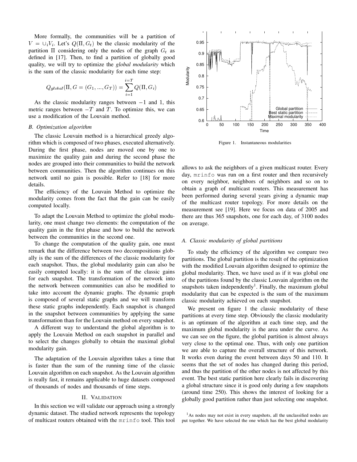More formally, the communities will be a partition of  $V = \bigcup_i V_i$ . Let's  $Q(\Pi, G_t)$  be the classic modularity of the partition  $\Pi$  considering only the nodes of the graph  $G_t$  as defined in [17]. Then, to find a partition of globally good quality, we will try to optimize the *global modularity* which is the sum of the classic modularity for each time step:

$$
Q_{global}(\Pi, G = (G_1, ..., G_T)) = \sum_{i=1}^{i=T} Q(\Pi, G_i)
$$

As the classic modularity ranges between  $-1$  and 1, this metric ranges between  $-T$  and T. To optimize this, we can use a modification of the Louvain method.

#### *B. Optimization algorithm*

The classic Louvain method is a hierarchical greedy algorithm which is composed of two phases, executed alternatively. During the first phase, nodes are moved one by one to maximize the quality gain and during the second phase the nodes are grouped into their communities to build the network between communities. Then the algorithm continues on this network until no gain is possible. Refer to [18] for more details.

The efficiency of the Louvain Method to optimize the modularity comes from the fact that the gain can be easily computed locally.

To adapt the Louvain Method to optimize the global modularity, one must change two elements: the computation of the quality gain in the first phase and how to build the network between the communities in the second one.

To change the computation of the quality gain, one must remark that the difference between two decompositions globally is the sum of the differences of the classic modularity for each snapshot. Thus, the global modularity gain can also be easily computed locally: it is the sum of the classic gains for each snapshot. The transformation of the network into the network between communities can also be modified to take into account the dynamic graphs. The dynamic graph is composed of several static graphs and we will transform these static graphs independently. Each snapshot is changed in the snapshot between communities by applying the same transformation than for the Louvain method on every snapshot.

A different way to understand the global algorithm is to apply the Louvain Method on each snapshot in parallel and to select the changes globally to obtain the maximal global modularity gain.

The adaptation of the Louvain algorithm takes a time that is faster than the sum of the running time of the classic Louvain algorithm on each snapshot. As the Louvain algorithm is really fast, it remains applicable to huge datasets composed of thousands of nodes and thousands of time steps.

#### II. VALIDATION

In this section we will validate our approach using a strongly dynamic dataset. The studied network represents the topology of multicast routers obtained with the mrinfo tool. This tool



Figure 1. Instantaneous modularities

allows to ask the neighbors of a given multicast router. Every day, mrinfo was run on a first router and then recursively on every neighbor, neighbors of neighbors and so on to obtain a graph of multicast routers. This measurement has been performed during several years giving a dynamic map of the multicast router topology. For more details on the measurement see [19]. Here we focus on data of 2005 and there are thus 365 snapshots, one for each day, of 3100 nodes on average.

#### *A. Classic modularity of global partitions*

To study the efficiency of the algorithm we compare two partitions. The global partition is the result of the optimization with the modified Louvain algorithm designed to optimize the global modularity. Then, we have used as if it was global one of the partitions found by the classic Louvain algorithm on the snapshots taken independently<sup>1</sup>. Finally, the maximum global modularity that can be expected is the sum of the maximum classic modularity achieved on each snapshot.

We present on figure 1 the classic modularity of these partitions at every time step. Obviously the classic modularity is an optimum of the algorithm at each time step, and the maximum global modularity is the area under the curve. As we can see on the figure, the global partition is almost always very close to the optimal one. Thus, with only one partition we are able to capture the overall structure of this network. It works even during the event between days 50 and 110. It seems that the set of nodes has changed during this period, and thus the partition of the other nodes is not affected by this event. The best static partition here clearly fails in discovering a global structure since it is good only during a few snapshots (around time 250). This shows the interest of looking for a globally good partition rather than just selecting one snapshot.

<sup>1</sup>As nodes may not exist in every snapshots, all the unclassified nodes are put together. We have selected the one which has the best global modularity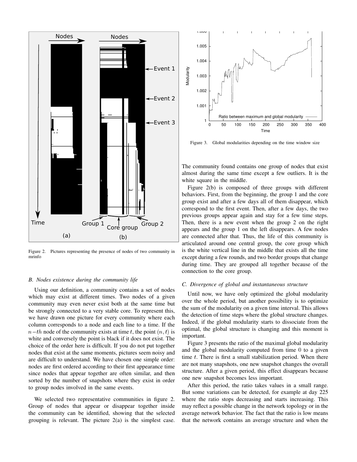

Figure 2. Pictures representing the presence of nodes of two community in mrinfo

#### *B. Nodes existence during the community life*

Using our definition, a community contains a set of nodes which may exist at different times. Two nodes of a given community may even never exist both at the same time but be strongly connected to a very stable core. To represent this, we have drawn one picture for every community where each column corresponds to a node and each line to a time. If the  $n-th$  node of the community exists at time t, the point  $(n, t)$  is white and conversely the point is black if it does not exist. The choice of the order here is difficult. If you do not put together nodes that exist at the same moments, pictures seem noisy and are difficult to understand. We have chosen one simple order: nodes are first ordered according to their first appearance time since nodes that appear together are often similar, and then sorted by the number of snapshots where they exist in order to group nodes involved in the same events.

We selected two representative communities in figure 2. Group of nodes that appear or disappear together inside the community can be identified, showing that the selected grouping is relevant. The picture 2(a) is the simplest case.



Figure 3. Global modularities depending on the time window size

The community found contains one group of nodes that exist almost during the same time except a few outliers. It is the white square in the middle.

Figure 2(b) is composed of three groups with different behaviors. First, from the beginning, the group 1 and the core group exist and after a few days all of them disappear, which correspond to the first event. Then, after a few days, the two previous groups appear again and stay for a few time steps. Then, there is a new event when the group 2 on the right appears and the group 1 on the left disappears. A few nodes are connected after that. Thus, the life of this community is articulated around one central group, the core group which is the white vertical line in the middle that exists all the time except during a few rounds, and two border groups that change during time. They are grouped all together because of the connection to the core group.

#### *C. Divergence of global and instantaneous structure*

Until now, we have only optimized the global modularity over the whole period, but another possibility is to optimize the sum of the modularity on a given time interval. This allows the detection of time steps where the global structure changes. Indeed, if the global modularity starts to dissociate from the optimal, the global structure is changing and this moment is important.

Figure 3 presents the ratio of the maximal global modularity and the global modularity computed from time 0 to a given time  $t$ . There is first a small stabilization period. When there are not many snapshots, one new snapshot changes the overall structure. After a given period, this effect disappears because one new snapshot becomes less important.

After this period, the ratio takes values in a small range. But some variations can be detected, for example at day 225 where the ratio stops decreasing and starts increasing. This may reflect a possible change in the network topology or in the average network behavior. The fact that the ratio is low means that the network contains an average structure and when the